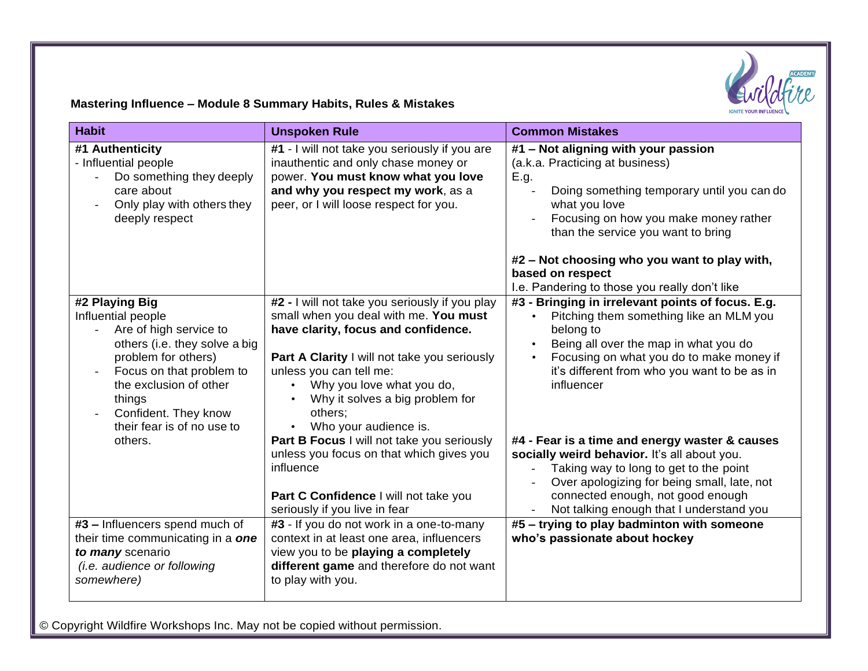

## **Mastering Influence – Module 8 Summary Habits, Rules & Mistakes**

| <b>Habit</b>                                                                                                                                                                                                                                            | <b>Unspoken Rule</b>                                                                                                                                                                                                                                                                                                                                                                                                                                                                           | <b>Common Mistakes</b>                                                                                                                                                                                                                                                                                                                                                                                                                                                                                                                                             |
|---------------------------------------------------------------------------------------------------------------------------------------------------------------------------------------------------------------------------------------------------------|------------------------------------------------------------------------------------------------------------------------------------------------------------------------------------------------------------------------------------------------------------------------------------------------------------------------------------------------------------------------------------------------------------------------------------------------------------------------------------------------|--------------------------------------------------------------------------------------------------------------------------------------------------------------------------------------------------------------------------------------------------------------------------------------------------------------------------------------------------------------------------------------------------------------------------------------------------------------------------------------------------------------------------------------------------------------------|
| #1 Authenticity<br>- Influential people<br>Do something they deeply<br>care about<br>Only play with others they<br>deeply respect                                                                                                                       | #1 - I will not take you seriously if you are<br>inauthentic and only chase money or<br>power. You must know what you love<br>and why you respect my work, as a<br>peer, or I will loose respect for you.                                                                                                                                                                                                                                                                                      | #1 - Not aligning with your passion<br>(a.k.a. Practicing at business)<br>E.g.<br>Doing something temporary until you can do<br>what you love<br>Focusing on how you make money rather<br>than the service you want to bring                                                                                                                                                                                                                                                                                                                                       |
|                                                                                                                                                                                                                                                         |                                                                                                                                                                                                                                                                                                                                                                                                                                                                                                | #2 - Not choosing who you want to play with,<br>based on respect<br>I.e. Pandering to those you really don't like                                                                                                                                                                                                                                                                                                                                                                                                                                                  |
| #2 Playing Big<br>Influential people<br>Are of high service to<br>others (i.e. they solve a big<br>problem for others)<br>Focus on that problem to<br>the exclusion of other<br>things<br>Confident. They know<br>their fear is of no use to<br>others. | #2 - I will not take you seriously if you play<br>small when you deal with me. You must<br>have clarity, focus and confidence.<br>Part A Clarity I will not take you seriously<br>unless you can tell me:<br>Why you love what you do,<br>Why it solves a big problem for<br>others;<br>Who your audience is.<br>Part B Focus I will not take you seriously<br>unless you focus on that which gives you<br>influence<br>Part C Confidence I will not take you<br>seriously if you live in fear | #3 - Bringing in irrelevant points of focus. E.g.<br>Pitching them something like an MLM you<br>belong to<br>Being all over the map in what you do<br>$\bullet$<br>Focusing on what you do to make money if<br>$\bullet$<br>it's different from who you want to be as in<br>influencer<br>#4 - Fear is a time and energy waster & causes<br>socially weird behavior. It's all about you.<br>Taking way to long to get to the point<br>Over apologizing for being small, late, not<br>connected enough, not good enough<br>Not talking enough that I understand you |
| #3 - Influencers spend much of<br>their time communicating in a one<br>to many scenario<br>(i.e. audience or following<br>somewhere)                                                                                                                    | #3 - If you do not work in a one-to-many<br>context in at least one area, influencers<br>view you to be playing a completely<br>different game and therefore do not want<br>to play with you.                                                                                                                                                                                                                                                                                                  | #5 - trying to play badminton with someone<br>who's passionate about hockey                                                                                                                                                                                                                                                                                                                                                                                                                                                                                        |

© Copyright Wildfire Workshops Inc. May not be copied without permission.